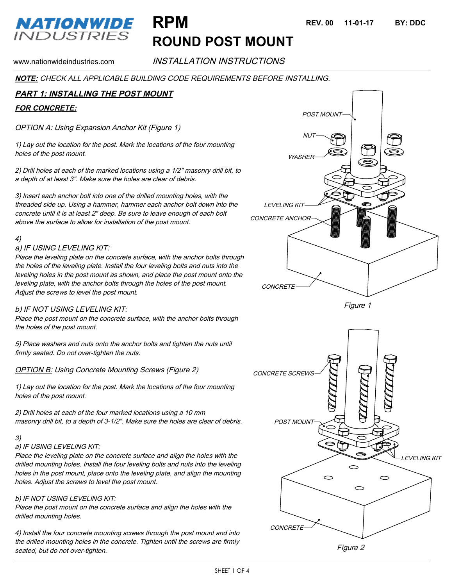## **NATIONWIDE** *INDUSTRIES*

www.nationwideindustries.com **INSTALLATION INSTRUCTIONS** 

**ROUND POST MOUNT**

**NOTE:** CHECK ALL APPLICABLE BUILDING CODE REQUIREMENTS BEFORE INSTALLING.

## **PART 1: INSTALLING THE POST MOUNT**

## **FOR CONCRETE:**

OPTION A: Using Expansion Anchor Kit (Figure 1)

1) Lay out the location for the post. Mark the locations of the four mounting holes of the post mount.

2) Drill holes at each of the marked locations using a 1/2" masonry drill bit, to a depth of at least 3". Make sure the holes are clear of debris.

3) Insert each anchor bolt into one of the drilled mounting holes, with the threaded side up. Using a hammer, hammer each anchor bolt down into the concrete until it is at least 2" deep. Be sure to leave enough of each bolt above the surface to allow for installation of the post mount.

### 4)

### a) IF USING LEVELING KIT:

Place the leveling plate on the concrete surface, with the anchor bolts through the holes of the leveling plate. Install the four leveling bolts and nuts into the leveling holes in the post mount as shown, and place the post mount onto the leveling plate, with the anchor bolts through the holes of the post mount. Adjust the screws to level the post mount.

## b) IF NOT USING LEVELING KIT:

Place the post mount on the concrete surface, with the anchor bolts through the holes of the post mount.

5) Place washers and nuts onto the anchor bolts and tighten the nuts until firmly seated. Do not over-tighten the nuts.

**OPTION B: Using Concrete Mounting Screws (Figure 2)** 

1) Lay out the location for the post. Mark the locations of the four mounting holes of the post mount.

2) Drill holes at each of the four marked locations using a 10 mm masonry drill bit, to a depth of 3-1/2". Make sure the holes are clear of debris.

#### 3)

### a) IF USING LEVELING KIT:

Place the leveling plate on the concrete surface and align the holes with the drilled mounting holes. Install the four leveling bolts and nuts into the leveling holes in the post mount, place onto the leveling plate, and align the mounting holes. Adjust the screws to level the post mount.

### b) IF NOT USING LEVELING KIT:

Place the post mount on the concrete surface and align the holes with the drilled mounting holes.

4) Install the four concrete mounting screws through the post mount and into the drilled mounting holes in the concrete. Tighten until the screws are firmly seated, but do not over-tighten.

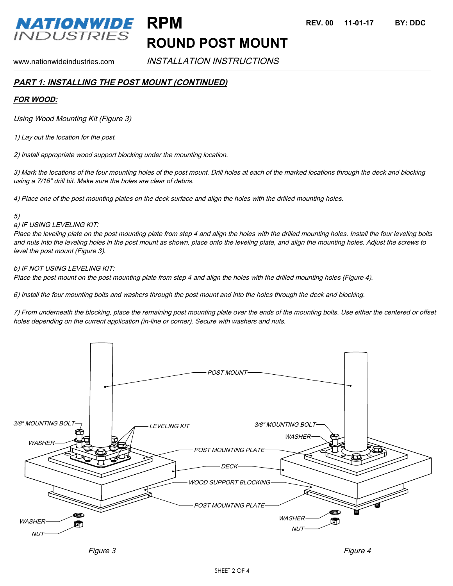

## **ROUND POST MOUNT**

www.nationwideindustries.com **INSTALLATION INSTRUCTIONS** 

## **PART 1: INSTALLING THE POST MOUNT (CONTINUED)**

## **FOR WOOD:**

Using Wood Mounting Kit (Figure 3)

1) Lay out the location for the post.

2) Install appropriate wood support blocking under the mounting location.

3) Mark the locations of the four mounting holes of the post mount. Drill holes at each of the marked locations through the deck and blocking using a 7/16" drill bit. Make sure the holes are clear of debris.

4) Place one of the post mounting plates on the deck surface and align the holes with the drilled mounting holes.

#### 5)

### a) IF USING LEVELING KIT:

Place the leveling plate on the post mounting plate from step 4 and align the holes with the drilled mounting holes. Install the four leveling bolts and nuts into the leveling holes in the post mount as shown, place onto the leveling plate, and align the mounting holes. Adjust the screws to level the post mount (Figure 3).

## b) IF NOT USING LEVELING KIT:

Place the post mount on the post mounting plate from step 4 and align the holes with the drilled mounting holes (Figure 4).

6) Install the four mounting bolts and washers through the post mount and into the holes through the deck and blocking.

7) From underneath the blocking, place the remaining post mounting plate over the ends of the mounting bolts. Use either the centered or offset holes depending on the current application (in-line or corner). Secure with washers and nuts.

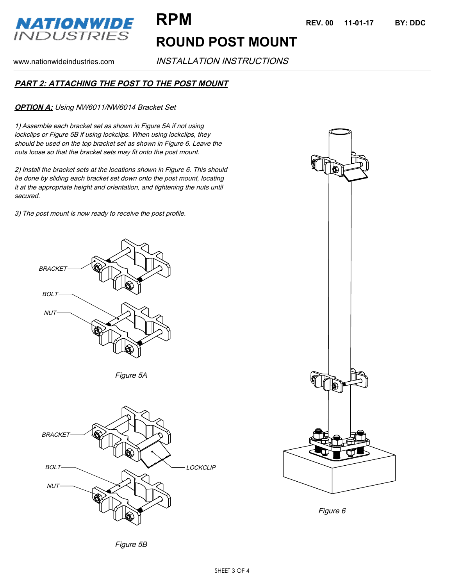

# **ROUND POST MOUNT**

www.nationwideindustries.com **INSTALLATION INSTRUCTIONS** 

## **PART 2: ATTACHING THE POST TO THE POST MOUNT**

**OPTION A:** Using NW6011/NW6014 Bracket Set

1) Assemble each bracket set as shown in Figure 5A if not using lockclips or Figure 5B if using lockclips. When using lockclips, they should be used on the top bracket set as shown in Figure 6. Leave the nuts loose so that the bracket sets may fit onto the post mount.

2) Install the bracket sets at the locations shown in Figure 6. This should be done by sliding each bracket set down onto the post mount, locating it at the appropriate height and orientation, and tightening the nuts until secured.

3) The post mount is now ready to receive the post profile.











Figure 6